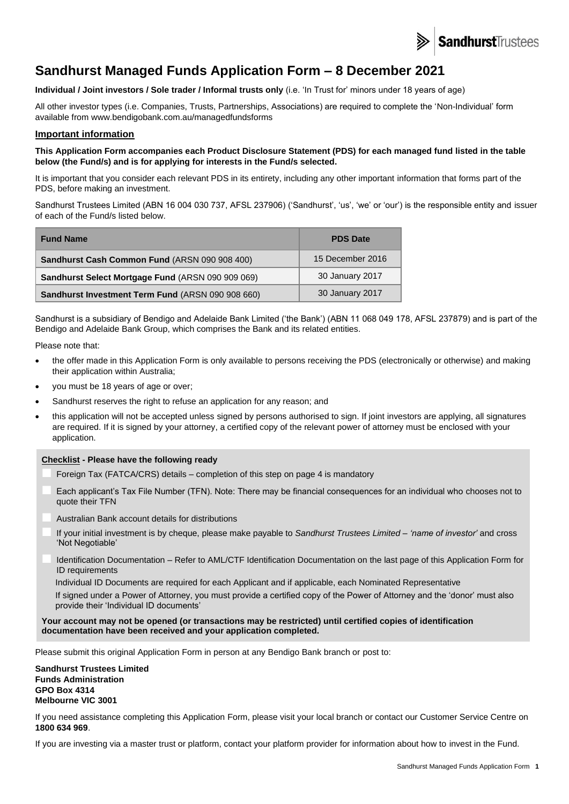

# **Sandhurst Managed Funds Application Form – 8 December 2021**

**Individual / Joint investors / Sole trader / Informal trusts only** (i.e. 'In Trust for' minors under 18 years of age)

All other investor types (i.e. Companies, Trusts, Partnerships, Associations) are required to complete the 'Non-Individual' form available from www.bendigobank.com.au/managedfundsforms

## **Important information**

**This Application Form accompanies each Product Disclosure Statement (PDS) for each managed fund listed in the table below (the Fund/s) and is for applying for interests in the Fund/s selected.**

It is important that you consider each relevant PDS in its entirety, including any other important information that forms part of the PDS, before making an investment.

Sandhurst Trustees Limited (ABN 16 004 030 737, AFSL 237906) ('Sandhurst', 'us', 'we' or 'our') is the responsible entity and issuer of each of the Fund/s listed below.

| <b>Fund Name</b>                                  | <b>PDS Date</b>  |
|---------------------------------------------------|------------------|
| Sandhurst Cash Common Fund (ARSN 090 908 400)     | 15 December 2016 |
| Sandhurst Select Mortgage Fund (ARSN 090 909 069) | 30 January 2017  |
| Sandhurst Investment Term Fund (ARSN 090 908 660) | 30 January 2017  |

Sandhurst is a subsidiary of Bendigo and Adelaide Bank Limited ('the Bank') (ABN 11 068 049 178, AFSL 237879) and is part of the Bendigo and Adelaide Bank Group, which comprises the Bank and its related entities.

Please note that:

- the offer made in this Application Form is only available to persons receiving the PDS (electronically or otherwise) and making their application within Australia;
- you must be 18 years of age or over;
- Sandhurst reserves the right to refuse an application for any reason; and
- this application will not be accepted unless signed by persons authorised to sign. If joint investors are applying, all signatures are required. If it is signed by your attorney, a certified copy of the relevant power of attorney must be enclosed with your application.

#### **Checklist - Please have the following ready**

- Foreign Tax (FATCA/CRS) details completion of this step on page 4 is mandatory
- Each applicant's Tax File Number (TFN). Note: There may be financial consequences for an individual who chooses not to quote their TFN
- Australian Bank account details for distributions
- If your initial investment is by cheque, please make payable to *Sandhurst Trustees Limited – 'name of investor'* and cross 'Not Negotiable'
- Identification Documentation Refer to AML/CTF Identification Documentation on the last page of this Application Form for ID requirements

Individual ID Documents are required for each Applicant and if applicable, each Nominated Representative

If signed under a Power of Attorney, you must provide a certified copy of the Power of Attorney and the 'donor' must also provide their 'Individual ID documents'

#### **Your account may not be opened (or transactions may be restricted) until certified copies of identification documentation have been received and your application completed.**

Please submit this original Application Form in person at any Bendigo Bank branch or post to:

**Sandhurst Trustees Limited Funds Administration GPO Box 4314 Melbourne VIC 3001**

If you need assistance completing this Application Form, please visit your local branch or contact our Customer Service Centre on **1800 634 969**.

If you are investing via a master trust or platform, contact your platform provider for information about how to invest in the Fund.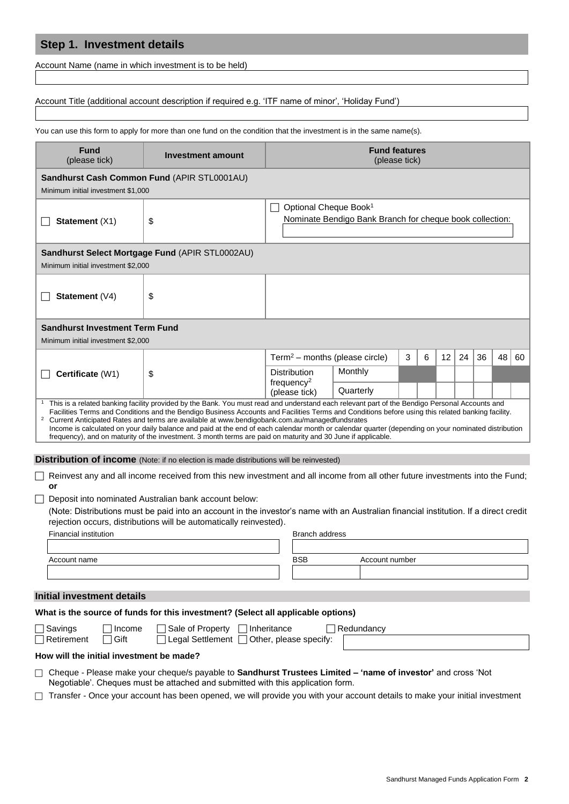# **Step 1. Investment details**

Account Name (name in which investment is to be held)

## Account Title (additional account description if required e.g. 'ITF name of minor', 'Holiday Fund')

You can use this form to apply for more than one fund on the condition that the investment is in the same name(s).

| <b>Fund</b><br>(please tick)                          | Investment amount                                                                                                                                                                                                                                                   | <b>Fund features</b><br>(please tick)      |                                                          |   |   |    |    |    |    |    |
|-------------------------------------------------------|---------------------------------------------------------------------------------------------------------------------------------------------------------------------------------------------------------------------------------------------------------------------|--------------------------------------------|----------------------------------------------------------|---|---|----|----|----|----|----|
| Sandhurst Cash Common Fund (APIR STL0001AU)           |                                                                                                                                                                                                                                                                     |                                            |                                                          |   |   |    |    |    |    |    |
| Minimum initial investment \$1,000                    |                                                                                                                                                                                                                                                                     |                                            |                                                          |   |   |    |    |    |    |    |
|                                                       |                                                                                                                                                                                                                                                                     | Optional Cheque Book <sup>1</sup>          |                                                          |   |   |    |    |    |    |    |
| Statement (X1)                                        | \$                                                                                                                                                                                                                                                                  |                                            | Nominate Bendigo Bank Branch for cheque book collection: |   |   |    |    |    |    |    |
|                                                       |                                                                                                                                                                                                                                                                     |                                            |                                                          |   |   |    |    |    |    |    |
|                                                       | Sandhurst Select Mortgage Fund (APIR STL0002AU)                                                                                                                                                                                                                     |                                            |                                                          |   |   |    |    |    |    |    |
| Minimum initial investment \$2,000                    |                                                                                                                                                                                                                                                                     |                                            |                                                          |   |   |    |    |    |    |    |
|                                                       |                                                                                                                                                                                                                                                                     |                                            |                                                          |   |   |    |    |    |    |    |
| Statement (V4)                                        | \$                                                                                                                                                                                                                                                                  |                                            |                                                          |   |   |    |    |    |    |    |
|                                                       |                                                                                                                                                                                                                                                                     |                                            |                                                          |   |   |    |    |    |    |    |
| <b>Sandhurst Investment Term Fund</b>                 |                                                                                                                                                                                                                                                                     |                                            |                                                          |   |   |    |    |    |    |    |
| Minimum initial investment \$2,000                    |                                                                                                                                                                                                                                                                     |                                            |                                                          |   |   |    |    |    |    |    |
|                                                       |                                                                                                                                                                                                                                                                     | Term <sup>2</sup> - months (please circle) |                                                          | 3 | 6 | 12 | 24 | 36 | 48 | 60 |
| Certificate (W1)                                      | \$                                                                                                                                                                                                                                                                  | <b>Distribution</b>                        | Monthly                                                  |   |   |    |    |    |    |    |
|                                                       |                                                                                                                                                                                                                                                                     | frequency <sup>2</sup><br>(please tick)    | Quarterly                                                |   |   |    |    |    |    |    |
|                                                       | This is a related banking facility provided by the Bank. You must read and understand each relevant part of the Bendigo Personal Accounts and                                                                                                                       |                                            |                                                          |   |   |    |    |    |    |    |
|                                                       | Facilities Terms and Conditions and the Bendigo Business Accounts and Facilities Terms and Conditions before using this related banking facility.<br><sup>2</sup> Current Anticipated Rates and terms are available at www.bendigobank.com.au/managedfundsrates     |                                            |                                                          |   |   |    |    |    |    |    |
|                                                       | Income is calculated on your daily balance and paid at the end of each calendar month or calendar quarter (depending on your nominated distribution<br>frequency), and on maturity of the investment. 3 month terms are paid on maturity and 30 June if applicable. |                                            |                                                          |   |   |    |    |    |    |    |
|                                                       |                                                                                                                                                                                                                                                                     |                                            |                                                          |   |   |    |    |    |    |    |
|                                                       | <b>Distribution of income</b> (Note: if no election is made distributions will be reinvested)                                                                                                                                                                       |                                            |                                                          |   |   |    |    |    |    |    |
| or                                                    | Reinvest any and all income received from this new investment and all income from all other future investments into the Fund;                                                                                                                                       |                                            |                                                          |   |   |    |    |    |    |    |
|                                                       | Deposit into nominated Australian bank account below:                                                                                                                                                                                                               |                                            |                                                          |   |   |    |    |    |    |    |
|                                                       | (Note: Distributions must be paid into an account in the investor's name with an Australian financial institution. If a direct credit                                                                                                                               |                                            |                                                          |   |   |    |    |    |    |    |
|                                                       | rejection occurs, distributions will be automatically reinvested).                                                                                                                                                                                                  |                                            |                                                          |   |   |    |    |    |    |    |
| <b>Financial institution</b><br><b>Branch address</b> |                                                                                                                                                                                                                                                                     |                                            |                                                          |   |   |    |    |    |    |    |
| <b>BSB</b><br>Account name<br>Account number          |                                                                                                                                                                                                                                                                     |                                            |                                                          |   |   |    |    |    |    |    |
|                                                       |                                                                                                                                                                                                                                                                     |                                            |                                                          |   |   |    |    |    |    |    |
|                                                       |                                                                                                                                                                                                                                                                     |                                            |                                                          |   |   |    |    |    |    |    |
| <b>Initial investment details</b>                     |                                                                                                                                                                                                                                                                     |                                            |                                                          |   |   |    |    |    |    |    |
|                                                       | What is the source of funds for this investment? (Select all applicable options)                                                                                                                                                                                    |                                            |                                                          |   |   |    |    |    |    |    |
| _ Savings<br>Income<br>⊤Retirement<br>Gift            | Sale of Property □ Inheritance<br>Legal Settlement □ Other, please specify:                                                                                                                                                                                         |                                            | Redundancy                                               |   |   |    |    |    |    |    |
| How will the initial investment be made?              |                                                                                                                                                                                                                                                                     |                                            |                                                          |   |   |    |    |    |    |    |
|                                                       | Cheque - Please make your cheque/s payable to Sandhurst Trustees Limited - 'name of investor' and cross 'Not<br>Negotiable'. Cheques must be attached and submitted with this application form.                                                                     |                                            |                                                          |   |   |    |    |    |    |    |
|                                                       | Transfer - Once your account has been opened, we will provide you with your account details to make your initial investment                                                                                                                                         |                                            |                                                          |   |   |    |    |    |    |    |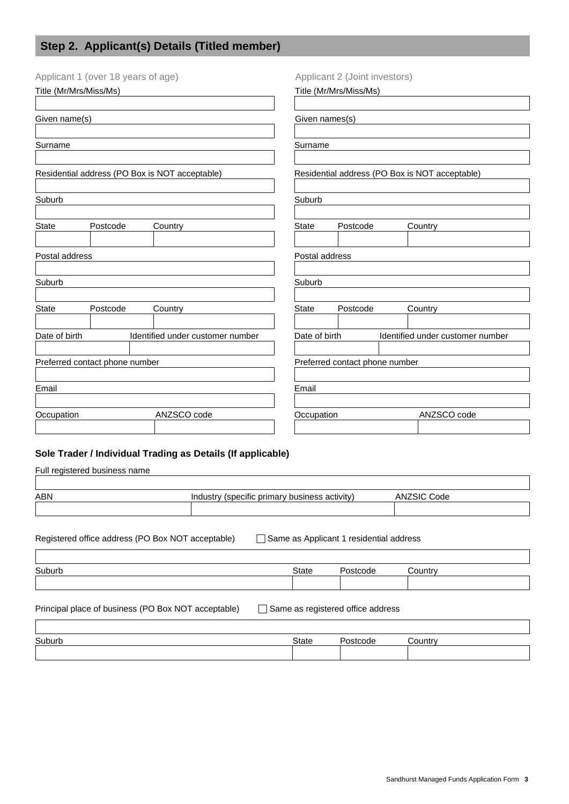# **Step 2. Applicant(s) Details (Titled member)**

| Applicant 1 (over 18 years of age)             |          |  | Applicant 2 (Joint investors)                               |                        |                                |  |                                  |
|------------------------------------------------|----------|--|-------------------------------------------------------------|------------------------|--------------------------------|--|----------------------------------|
| Title (Mr/Mrs/Miss/Ms)                         |          |  |                                                             | Title (Mr/Mrs/Miss/Ms) |                                |  |                                  |
| Given name(s)                                  |          |  | Given names(s)                                              |                        |                                |  |                                  |
|                                                |          |  |                                                             |                        |                                |  |                                  |
| Surname                                        |          |  |                                                             | Surname                |                                |  |                                  |
| Residential address (PO Box is NOT acceptable) |          |  | Residential address (PO Box is NOT acceptable)              |                        |                                |  |                                  |
|                                                |          |  |                                                             |                        |                                |  |                                  |
| Suburb                                         |          |  |                                                             | Suburb                 |                                |  |                                  |
| <b>State</b>                                   | Postcode |  | Country                                                     | <b>State</b>           | Postcode                       |  | Country                          |
| Postal address                                 |          |  |                                                             | Postal address         |                                |  |                                  |
| Suburb                                         |          |  |                                                             | Suburb                 |                                |  |                                  |
|                                                |          |  |                                                             |                        |                                |  |                                  |
| <b>State</b>                                   | Postcode |  | Country                                                     | <b>State</b>           | Postcode                       |  | Country                          |
| Date of birth                                  |          |  | Identified under customer number                            | Date of birth          |                                |  | Identified under customer number |
| Preferred contact phone number                 |          |  |                                                             |                        | Preferred contact phone number |  |                                  |
|                                                |          |  |                                                             |                        |                                |  |                                  |
| Email                                          |          |  |                                                             | Email                  |                                |  |                                  |
| Occupation                                     |          |  | ANZSCO code                                                 | Occupation             |                                |  | ANZSCO code                      |
|                                                |          |  | Sole Trader / Individual Trading as Details (If applicable) |                        |                                |  |                                  |
| Full registered business name                  |          |  |                                                             |                        |                                |  |                                  |
|                                                |          |  |                                                             |                        |                                |  |                                  |
| <b>ABN</b>                                     |          |  | Industry (specific primary business activity)               |                        |                                |  | <b>ANZSIC Code</b>               |

Registered office address (PO Box NOT acceptable) Same as Applicant 1 residential address Suburb State Postcode Country Principal place of business (PO Box NOT acceptable)  $\Box$  Same as registered office address Suburb State Postcode Country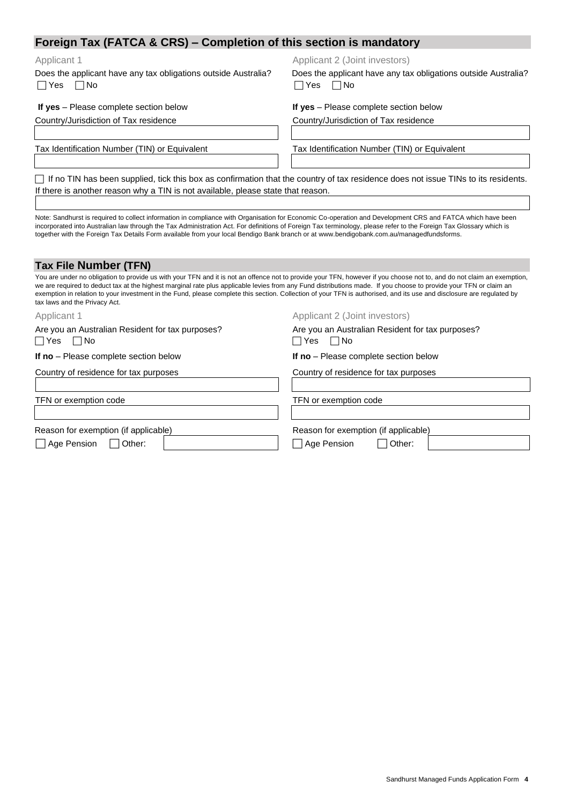# **Foreign Tax (FATCA & CRS) – Completion of this section is mandatory**

Does the applicant have any tax obligations outside Australia?  $\Box$  Yes  $\Box$  No

Applicant 1 Applicant 1 Applicant 2 (Joint investors)

 Does the applicant have any tax obligations outside Australia?  $\Box$  Yes  $\Box$  No

| If yes - Please complete section below |  |
|----------------------------------------|--|
|----------------------------------------|--|

**If yes** – Please complete section below **If yes** – Please complete section below Country/Jurisdiction of Tax residence Country/Jurisdiction of Tax residence

Tax Identification Number (TIN) or Equivalent Tax Identification Number (TIN) or Equivalent

 $\Box$  If no TIN has been supplied, tick this box as confirmation that the country of tax residence does not issue TINs to its residents. If there is another reason why a TIN is not available, please state that reason.

Note: Sandhurst is required to collect information in compliance with Organisation for Economic Co-operation and Development CRS and FATCA which have been incorporated into Australian law through the Tax Administration Act. For definitions of Foreign Tax terminology, please refer to the Foreign Tax Glossary which is together with the Foreign Tax Details Form available from your local Bendigo Bank branch or at www.bendigobank.com.au/managedfundsforms.

| Tax File Number (TFN) |
|-----------------------|
|-----------------------|

You are under no obligation to provide us with your TFN and it is not an offence not to provide your TFN, however if you choose not to, and do not claim an exemption, we are required to deduct tax at the highest marginal rate plus applicable levies from any Fund distributions made. If you choose to provide your TFN or claim an exemption in relation to your investment in the Fund, please complete this section. Collection of your TFN is authorised, and its use and disclosure are regulated by tax laws and the Privacy Act. Applicant 1 Applicant 1 Applicant 2 (Joint investors) Are you an Australian Resident for tax purposes? Are you an Australian Resident for tax purposes?  $\Box$  Yes  $\Box$  No  $\Box$  Yes  $\Box$  No

Country of residence for tax purposes Country of residence for tax purposes

TFN or exemption code TFN or exemption code

**If no** – Please complete section below **If no** – Please complete section below

Reason for exemption (if applicable) Reason for exemption (if applicable)

Age Pension 
<br>  $\Box$  Age Pension  $\Box$  Other:  $\Box$  Age Pension  $\Box$  Other: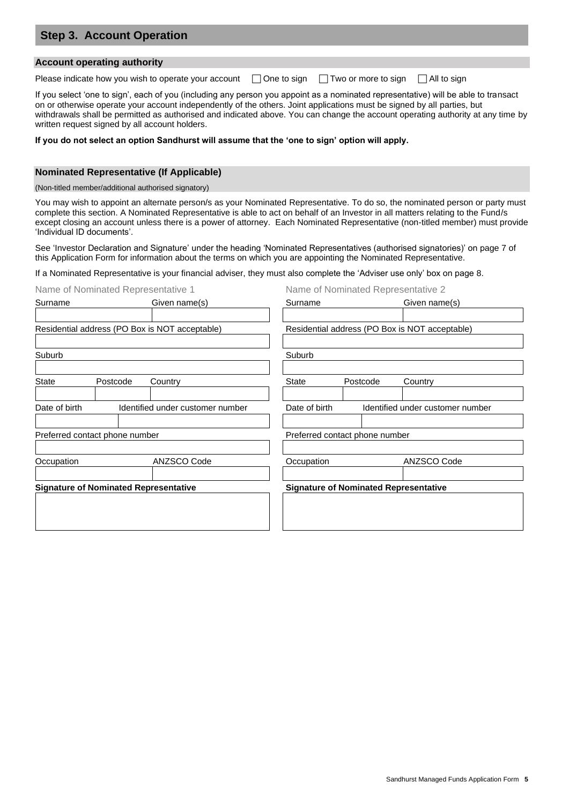| <b>Step 3. Account Operation</b> |  |
|----------------------------------|--|
|                                  |  |
| Account operating authority ∤    |  |

Please indicate how you wish to operate your account  $\Box$  One to sign  $\Box$  Two or more to sign  $\Box$  All to sign

If you select 'one to sign', each of you (including any person you appoint as a nominated representative) will be able to transact on or otherwise operate your account independently of the others. Joint applications must be signed by all parties, but withdrawals shall be permitted as authorised and indicated above. You can change the account operating authority at any time by written request signed by all account holders.

### **If you do not select an option Sandhurst will assume that the 'one to sign' option will apply.**

## **Nominated Representative (If Applicable)**

(Non-titled member/additional authorised signatory)

You may wish to appoint an alternate person/s as your Nominated Representative. To do so, the nominated person or party must complete this section. A Nominated Representative is able to act on behalf of an Investor in all matters relating to the Fund/s except closing an account unless there is a power of attorney. Each Nominated Representative (non-titled member) must provide 'Individual ID documents'.

See 'Investor Declaration and Signature' under the heading 'Nominated Representatives (authorised signatories)' on page 7 of this Application Form for information about the terms on which you are appointing the Nominated Representative.

If a Nominated Representative is your financial adviser, they must also complete the 'Adviser use only' box on page 8.

| Name of Nominated Representative 1             |  |                                  |                                | Name of Nominated Representative 2             |                                  |  |  |
|------------------------------------------------|--|----------------------------------|--------------------------------|------------------------------------------------|----------------------------------|--|--|
| Surname                                        |  | Given name(s)                    | Surname                        |                                                | Given name(s)                    |  |  |
|                                                |  |                                  |                                |                                                |                                  |  |  |
| Residential address (PO Box is NOT acceptable) |  |                                  |                                | Residential address (PO Box is NOT acceptable) |                                  |  |  |
| Suburb                                         |  |                                  | Suburb                         |                                                |                                  |  |  |
| <b>State</b><br>Postcode<br>Country            |  |                                  | <b>State</b>                   | Postcode                                       | Country                          |  |  |
| Date of birth                                  |  | Identified under customer number | Date of birth                  |                                                | Identified under customer number |  |  |
| Preferred contact phone number                 |  |                                  | Preferred contact phone number |                                                |                                  |  |  |
| ANZSCO Code<br>Occupation                      |  | Occupation                       |                                | ANZSCO Code                                    |                                  |  |  |
| <b>Signature of Nominated Representative</b>   |  |                                  |                                | <b>Signature of Nominated Representative</b>   |                                  |  |  |
|                                                |  |                                  |                                |                                                |                                  |  |  |
|                                                |  |                                  |                                |                                                |                                  |  |  |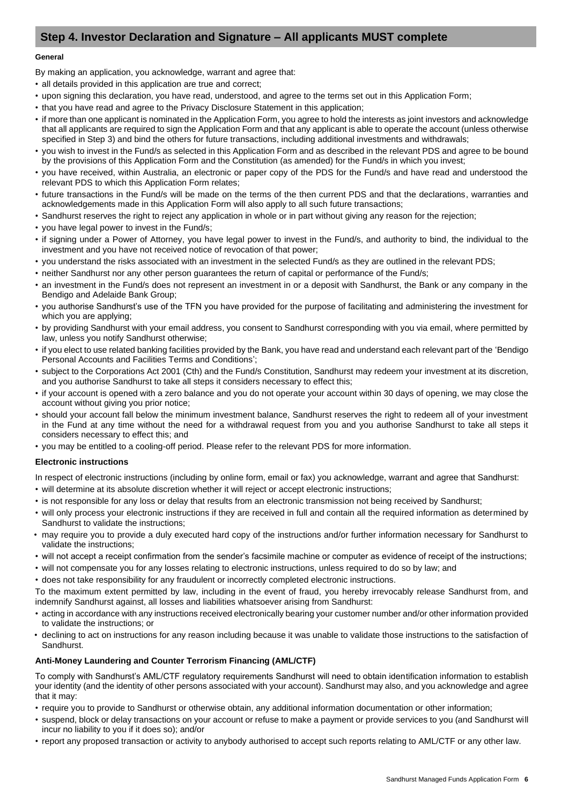# **Step 4. Investor Declaration and Signature – All applicants MUST complete**

#### **General**

By making an application, you acknowledge, warrant and agree that:

- all details provided in this application are true and correct;
- upon signing this declaration, you have read, understood, and agree to the terms set out in this Application Form;
- that you have read and agree to the Privacy Disclosure Statement in this application;
- if more than one applicant is nominated in the Application Form, you agree to hold the interests as joint investors and acknowledge that all applicants are required to sign the Application Form and that any applicant is able to operate the account (unless otherwise specified in Step 3) and bind the others for future transactions, including additional investments and withdrawals;
- you wish to invest in the Fund/s as selected in this Application Form and as described in the relevant PDS and agree to be bound by the provisions of this Application Form and the Constitution (as amended) for the Fund/s in which you invest;
- you have received, within Australia, an electronic or paper copy of the PDS for the Fund/s and have read and understood the relevant PDS to which this Application Form relates;
- future transactions in the Fund/s will be made on the terms of the then current PDS and that the declarations, warranties and acknowledgements made in this Application Form will also apply to all such future transactions;
- Sandhurst reserves the right to reject any application in whole or in part without giving any reason for the rejection;
- you have legal power to invest in the Fund/s;
- if signing under a Power of Attorney, you have legal power to invest in the Fund/s, and authority to bind, the individual to the investment and you have not received notice of revocation of that power;
- you understand the risks associated with an investment in the selected Fund/s as they are outlined in the relevant PDS;
- neither Sandhurst nor any other person guarantees the return of capital or performance of the Fund/s;
- an investment in the Fund/s does not represent an investment in or a deposit with Sandhurst, the Bank or any company in the Bendigo and Adelaide Bank Group;
- you authorise Sandhurst's use of the TFN you have provided for the purpose of facilitating and administering the investment for which you are applying;
- by providing Sandhurst with your email address, you consent to Sandhurst corresponding with you via email, where permitted by law, unless you notify Sandhurst otherwise;
- if you elect to use related banking facilities provided by the Bank, you have read and understand each relevant part of the 'Bendigo Personal Accounts and Facilities Terms and Conditions';
- subject to the Corporations Act 2001 (Cth) and the Fund/s Constitution, Sandhurst may redeem your investment at its discretion, and you authorise Sandhurst to take all steps it considers necessary to effect this;
- if your account is opened with a zero balance and you do not operate your account within 30 days of opening, we may close the account without giving you prior notice;
- should your account fall below the minimum investment balance, Sandhurst reserves the right to redeem all of your investment in the Fund at any time without the need for a withdrawal request from you and you authorise Sandhurst to take all steps it considers necessary to effect this; and
- you may be entitled to a cooling-off period. Please refer to the relevant PDS for more information.

# **Electronic instructions**

In respect of electronic instructions (including by online form, email or fax) you acknowledge, warrant and agree that Sandhurst:

- will determine at its absolute discretion whether it will reject or accept electronic instructions;
- is not responsible for any loss or delay that results from an electronic transmission not being received by Sandhurst;
- will only process your electronic instructions if they are received in full and contain all the required information as determined by Sandhurst to validate the instructions;
- may require you to provide a duly executed hard copy of the instructions and/or further information necessary for Sandhurst to validate the instructions;
- will not accept a receipt confirmation from the sender's facsimile machine or computer as evidence of receipt of the instructions;
- will not compensate you for any losses relating to electronic instructions, unless required to do so by law; and
- does not take responsibility for any fraudulent or incorrectly completed electronic instructions.

To the maximum extent permitted by law, including in the event of fraud, you hereby irrevocably release Sandhurst from, and indemnify Sandhurst against, all losses and liabilities whatsoever arising from Sandhurst:

- acting in accordance with any instructions received electronically bearing your customer number and/or other information provided to validate the instructions; or
- declining to act on instructions for any reason including because it was unable to validate those instructions to the satisfaction of Sandhurst.

# **Anti-Money Laundering and Counter Terrorism Financing (AML/CTF)**

To comply with Sandhurst's AML/CTF regulatory requirements Sandhurst will need to obtain identification information to establish your identity (and the identity of other persons associated with your account). Sandhurst may also, and you acknowledge and agree that it may:

- require you to provide to Sandhurst or otherwise obtain, any additional information documentation or other information;
- suspend, block or delay transactions on your account or refuse to make a payment or provide services to you (and Sandhurst will incur no liability to you if it does so); and/or
- report any proposed transaction or activity to anybody authorised to accept such reports relating to AML/CTF or any other law.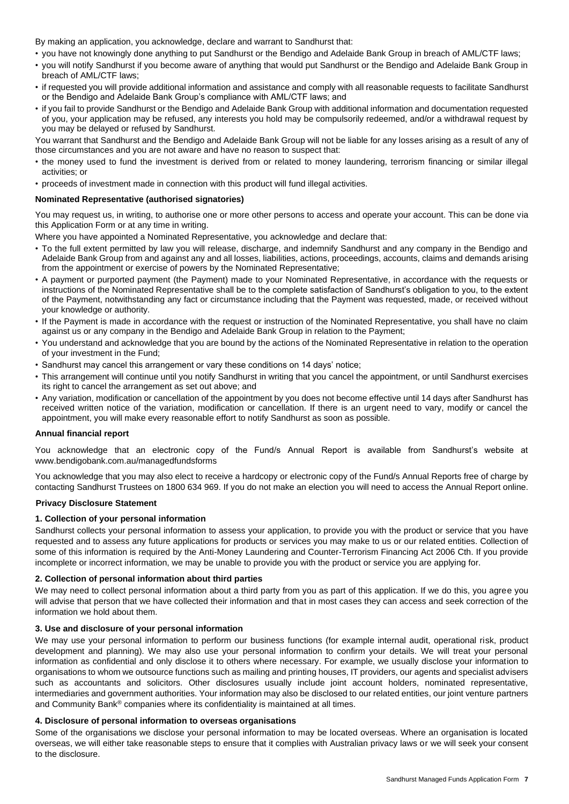By making an application, you acknowledge, declare and warrant to Sandhurst that:

- you have not knowingly done anything to put Sandhurst or the Bendigo and Adelaide Bank Group in breach of AML/CTF laws;
- you will notify Sandhurst if you become aware of anything that would put Sandhurst or the Bendigo and Adelaide Bank Group in breach of AML/CTF laws;
- if requested you will provide additional information and assistance and comply with all reasonable requests to facilitate Sandhurst or the Bendigo and Adelaide Bank Group's compliance with AML/CTF laws; and
- if you fail to provide Sandhurst or the Bendigo and Adelaide Bank Group with additional information and documentation requested of you, your application may be refused, any interests you hold may be compulsorily redeemed, and/or a withdrawal request by you may be delayed or refused by Sandhurst.

You warrant that Sandhurst and the Bendigo and Adelaide Bank Group will not be liable for any losses arising as a result of any of those circumstances and you are not aware and have no reason to suspect that:

- the money used to fund the investment is derived from or related to money laundering, terrorism financing or similar illegal activities; or
- proceeds of investment made in connection with this product will fund illegal activities.

## **Nominated Representative (authorised signatories)**

You may request us, in writing, to authorise one or more other persons to access and operate your account. This can be done via this Application Form or at any time in writing.

Where you have appointed a Nominated Representative, you acknowledge and declare that:

- To the full extent permitted by law you will release, discharge, and indemnify Sandhurst and any company in the Bendigo and Adelaide Bank Group from and against any and all losses, liabilities, actions, proceedings, accounts, claims and demands arising from the appointment or exercise of powers by the Nominated Representative;
- A payment or purported payment (the Payment) made to your Nominated Representative, in accordance with the requests or instructions of the Nominated Representative shall be to the complete satisfaction of Sandhurst's obligation to you, to the extent of the Payment, notwithstanding any fact or circumstance including that the Payment was requested, made, or received without your knowledge or authority.
- If the Payment is made in accordance with the request or instruction of the Nominated Representative, you shall have no claim against us or any company in the Bendigo and Adelaide Bank Group in relation to the Payment;
- You understand and acknowledge that you are bound by the actions of the Nominated Representative in relation to the operation of your investment in the Fund;
- Sandhurst may cancel this arrangement or vary these conditions on 14 days' notice;
- This arrangement will continue until you notify Sandhurst in writing that you cancel the appointment, or until Sandhurst exercises its right to cancel the arrangement as set out above; and
- Any variation, modification or cancellation of the appointment by you does not become effective until 14 days after Sandhurst has received written notice of the variation, modification or cancellation. If there is an urgent need to vary, modify or cancel the appointment, you will make every reasonable effort to notify Sandhurst as soon as possible.

#### **Annual financial report**

You acknowledge that an electronic copy of the Fund/s Annual Report is available from Sandhurst's website at www.bendigobank.com.au/managedfundsforms

You acknowledge that you may also elect to receive a hardcopy or electronic copy of the Fund/s Annual Reports free of charge by contacting Sandhurst Trustees on 1800 634 969. If you do not make an election you will need to access the Annual Report online.

#### **Privacy Disclosure Statement**

#### **1. Collection of your personal information**

Sandhurst collects your personal information to assess your application, to provide you with the product or service that you have requested and to assess any future applications for products or services you may make to us or our related entities. Collection of some of this information is required by the Anti-Money Laundering and Counter-Terrorism Financing Act 2006 Cth. If you provide incomplete or incorrect information, we may be unable to provide you with the product or service you are applying for.

#### **2. Collection of personal information about third parties**

We may need to collect personal information about a third party from you as part of this application. If we do this, you agree you will advise that person that we have collected their information and that in most cases they can access and seek correction of the information we hold about them.

#### **3. Use and disclosure of your personal information**

We may use your personal information to perform our business functions (for example internal audit, operational risk, product development and planning). We may also use your personal information to confirm your details. We will treat your personal information as confidential and only disclose it to others where necessary. For example, we usually disclose your information to organisations to whom we outsource functions such as mailing and printing houses, IT providers, our agents and specialist advisers such as accountants and solicitors. Other disclosures usually include joint account holders, nominated representative, intermediaries and government authorities. Your information may also be disclosed to our related entities, our joint venture partners and Community Bank® companies where its confidentiality is maintained at all times.

#### **4. Disclosure of personal information to overseas organisations**

Some of the organisations we disclose your personal information to may be located overseas. Where an organisation is located overseas, we will either take reasonable steps to ensure that it complies with Australian privacy laws or we will seek your consent to the disclosure.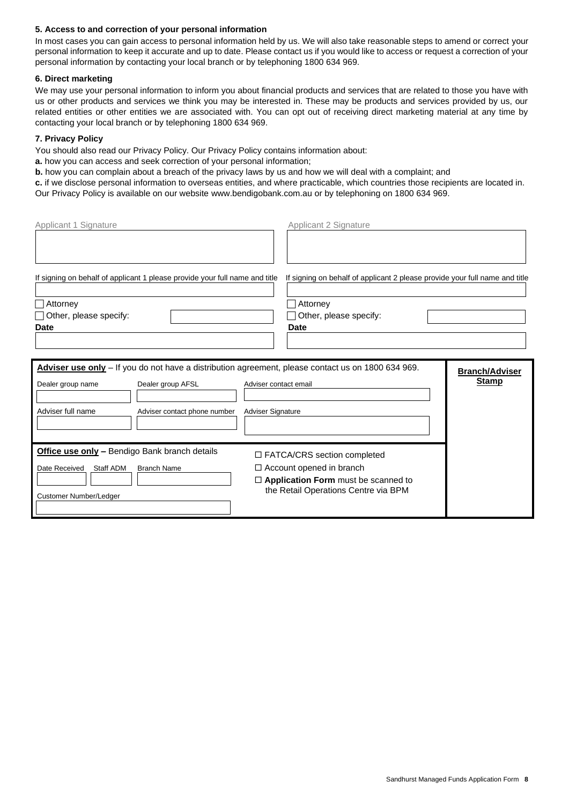# **5. Access to and correction of your personal information**

In most cases you can gain access to personal information held by us. We will also take reasonable steps to amend or correct your personal information to keep it accurate and up to date. Please contact us if you would like to access or request a correction of your personal information by contacting your local branch or by telephoning 1800 634 969.

## **6. Direct marketing**

We may use your personal information to inform you about financial products and services that are related to those you have with us or other products and services we think you may be interested in. These may be products and services provided by us, our related entities or other entities we are associated with. You can opt out of receiving direct marketing material at any time by contacting your local branch or by telephoning 1800 634 969.

# **7. Privacy Policy**

You should also read our Privacy Policy. Our Privacy Policy contains information about:

- **a.** how you can access and seek correction of your personal information;
- **b.** how you can complain about a breach of the privacy laws by us and how we will deal with a complaint; and
- **c.** if we disclose personal information to overseas entities, and where practicable, which countries those recipients are located in. Our Privacy Policy is available on our website www.bendigobank.com.au or by telephoning on 1800 634 969.
- Applicant 1 Signature **Applicant 2 Signature** Applicant 2 Signature If signing on behalf of applicant 1 please provide your full name and title If signing on behalf of applicant 2 please provide your full name and title Attorney Attorney Other, please specify: Other, please specify: **Date Date** Adviser use only - If you do not have a distribution agreement, please contact us on 1800 634 969. **Branch/Adviser Stamp** Dealer group AFSL Adviser contact email Adviser contact email Adviser contact email Adviser Let now that the stamp Contact email Adviser contact email Adviser contact email Adviser contact email Adviser contact ema Adviser full name **Adviser contact phone number** Adviser Signature **Office use only** – Bendigo Bank branch details **DEATCA/CRS** section completed  $\Box$  Account opened in branch **Application Form** must be scanned to the Retail Operations Centre via BPM Date Received Staff ADM Branch Name Customer Number/Ledger